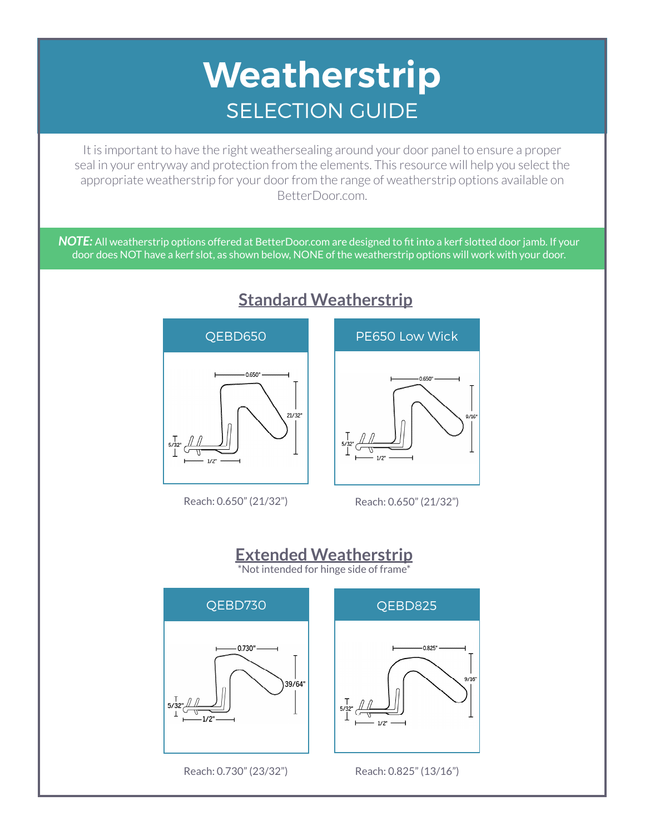## **Weatherstrip** SELECTION GUIDE

It is important to have the right weathersealing around your door panel to ensure a proper seal in your entryway and protection from the elements. This resource will help you select the appropriate weatherstrip for your door from the range of weatherstrip options available on BetterDoor.com.

*NOTE:* All weatherstrip options offered at BetterDoor.com are designed to fit into a kerf slotted door jamb. If your door does NOT have a kerf slot, as shown below, NONE of the weatherstrip options will work with your door.



## **Standard Weatherstrip**